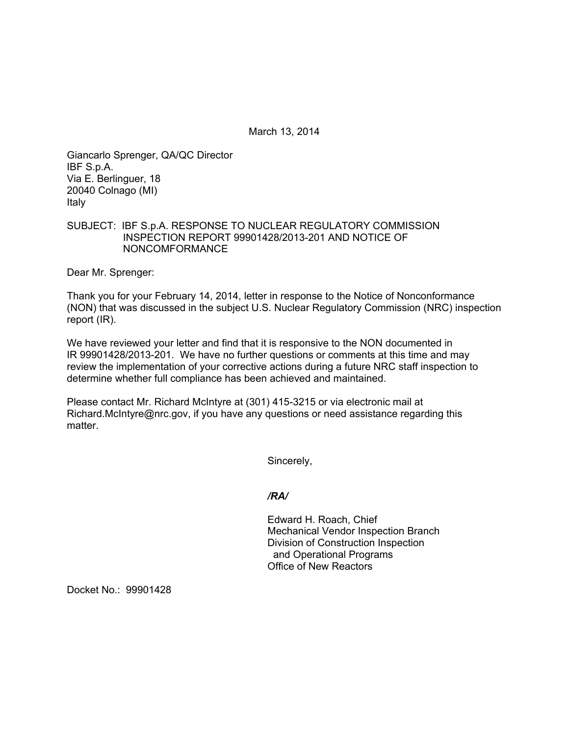March 13, 2014

Giancarlo Sprenger, QA/QC Director IBF S.p.A. Via E. Berlinguer, 18 20040 Colnago (MI) Italy

## SUBJECT: IBF S.p.A. RESPONSE TO NUCLEAR REGULATORY COMMISSION INSPECTION REPORT 99901428/2013-201 AND NOTICE OF NONCOMFORMANCE

Dear Mr. Sprenger:

Thank you for your February 14, 2014, letter in response to the Notice of Nonconformance (NON) that was discussed in the subject U.S. Nuclear Regulatory Commission (NRC) inspection report (IR).

We have reviewed your letter and find that it is responsive to the NON documented in IR 99901428/2013-201. We have no further questions or comments at this time and may review the implementation of your corrective actions during a future NRC staff inspection to determine whether full compliance has been achieved and maintained.

Please contact Mr. Richard McIntyre at (301) 415-3215 or via electronic mail at Richard.McIntyre@nrc.gov, if you have any questions or need assistance regarding this matter.

Sincerely,

*/RA/* 

Edward H. Roach, Chief Mechanical Vendor Inspection Branch Division of Construction Inspection and Operational Programs Office of New Reactors

Docket No.: 99901428